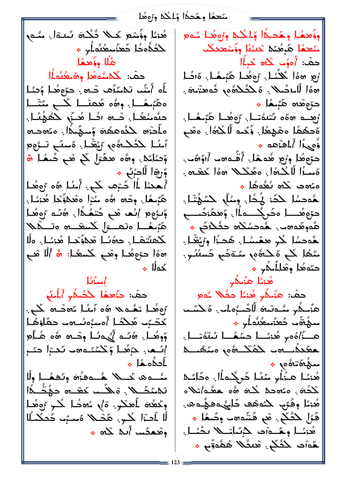محفظ وهجاا والمكا وووها

هُزئا وِؤْسْعِرِ كَــلا فُـُكْـرَة سُــتْـاً. مِنْــهِ لْكُلُّەكُل كُعْنُمْعُنُّەلُر \* هُلًا ووُههُا حف: ݣَكْمْشُوهُا وِهْبَعْنُواْ لِ لَمَاه أَمْنَتْ لَكُمْلَاهَا خَلْصٌ حَرَّةٍ هُمَا وَجِئَا ههَبُمُــا. وهُه هُعسْـا كَبِ مَثْــا حنَّمىُعُـا. حْـه احُـا هُـنِّ لَحْقَهُـُـا. مأدَّo حَدَّدَه مَعْدَ وَسَهَّىدًا. مَتَّدَدُّد أَسُل لِمُثَلِّدةُ وَيُغْتَلِّ. هُمنَّے تَـوُهِ رَ وَحَلَمُک وَهُ مَحَمَلٍ کُمْ هُم حُـمُـلٌ هُ ِ <sub>وَ</sub> رِهَا لَاحزُبُ \* أَحْمَدُا لَمَا ۚ كَـٰٓءَمِ ۖ كَـٰٓى ۖ أَسُلَ ۞ه وَهُدا هَّزَمُهُا. وِحْدَه هُوَ مُتْرَا وقَعْدَوْتُنَا هُزْسًا. وَّىؤَوْمَ إِنُمْ شَيْ خُتْمُكُلْ. شَكَّدُ وَوَهُـل كَبُمُــا مَتَعَــَةِلْ لَكَسْعَـــهِ مَتَــدُلا كْهسَّصْل. حەمُـُـل مْحْوَّىْــل هُـزىـُـل. ملُّا oهُ| حرِّهِهُــا وِهْــع كَــْتَغَــا: ﴿ ٱللَّا هُــعِ حُدلًا \* **إمىزُنا** حفَ: حَزَّهَهُا ۖ حَكُنُّهِ ٱلْمُنَّعَ رُوهُـا تَـمُّــه لَا هُو أَنْتُـا مُوتَــهِ كُــع. كْتْتُ هَٰكْشًا أُهْمَرُه سُـهب حَمَّاؤهُـا وَوهُــا. هُنّــه ﴾ وكامرةُ الله عنه من الله عنه إِنَّــم، حَرْهُــا وَتَحْمَّنَــه¤ف تَحــْرا حَنَّـر

بأحذَه هُا \* منْسوها كَسْلًا الْهُسُوهِ وُوَقِّعْ وَلَيْسَاءَ وَلَّا تكسَّمك . وَهَنَّب كَعْدِهِ حَدُّنُّهُ ا وكَعْدَهَ لَمُعَكَّرٍ. ۞﴾ مُعصًّا لَحْرٍ وَهمُا لًا ـأَدْ-ًا ـكْـرِ. هُـْـكَــ هُـمـرٌ- كُـعـُكْــلًا وقععفُسا أَلها لَاه ﴾ وؤهما وهجله وللكله وزوها شوم سِّعمُا هُرِهُمُا تَعِمُلُا وِؤُسْعِدِكُت حقَّ: أُهوُب كَلَّهِ كَبِماً! رُمِ هِهُمْ يَكْشَلْ رُوهُمْ هَرَمِهْلِ هَرْدُ هِهُمْ لَامِدُ مَلاَ مُلاَمُوْهِ وَ مُعَشِينٍ احزەتدە ھُئىما رُهِــهِ هؤه سٌنفُتـا. رُوهُــا هُرُــهُــا. ەُحكَمُلْ ەھْھِعُلْ. وُكُمە لَّالْحُدُّا. وقْب وأولى المرهم حوّى هُل ورُمِ هُدها. أَقَدهم أَاوَّهُمْ. ەمىدا لاڭگەل. ەھكىلا ھەلكېھى ه مُهد لَا سُعْدِها \* هُوصُل حَدٍّ هُدًا. وِسُلَّى حَسَّوُتْهَا. دوّەھلىل ەكرېگىسمال. ۆھھەكىسى هُەوٖهُدەت. ۿُدْسُلَاھ دَثُلاُکُم ﴾ هُوصِمًا لَحْرِ هِمُسُـاً. هُدَٰزًا وَزَيْقُـاً. مَّعُل كُم هَكْ‰َ مَّةَكُمْ كُسْلُو. دَعُوهُا وِهْلِلُمْلِ \* هُٰزْمًا هزُمكُر َ حَفَّ: هَزُمُكُمْ هُزْمًا حَثَّلًا شَامِ ھَ;َـــدُــر مُـُــدَنّـدَة ٱلْحُـــرُّءلَـــ. هَــْـئَـــــ مَدْيَاتُهُ ۖ حُمْنُمَمْتُمْلُوا ﴾ هےُّاہُہر هُنئُــا حمِّـهُــا تَىتَہْـَــا. معَكِمُـــــــه عَــــوَّة مِنْ مَـنَّصُــــم  $\cdot \cdot \cdot$   $\cdot \cdot \cdot$ هُنسًا هـُّأُم مِّنُا ضَرِيْحُماً!. هَظَّمْ لَكْتُهُ. ٥ مُحْمَد لَكْ مُهُ هَعْدَانَلاً \* هُزئا وِفَئِي حُدْهُد دَّائُي دِهْدُ هِ. فَعُلِ لِمُثَلَّمٍ. ثَمِ فَشَّەھٖ وِصُّعُلُ \* مُنْ فَيَا وَهُدَاتَ حَزْنُنَاتِ لَا تَحْسَلَ. || هُءîب لِأَشْكُلِ. مُنظُلا هُفُوقُنِ \*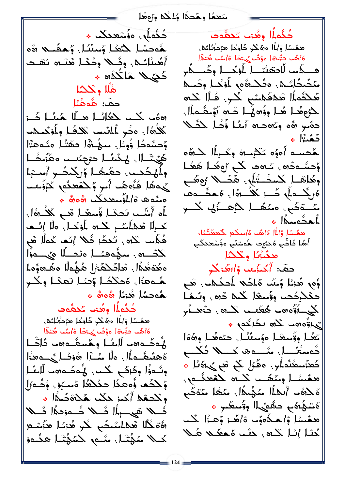محفظ وهجاا والمكا وووها

ئُكُمْكَى. ەۆشھىكك \* هُوصِمُا ۖ كَتَعُدَا وُسِئْدًا. وُهِقَيْدَ وَّهُ أَهُمبُلْسُمْ. وِضُلا وِحُمْلِ هْسْرِهِ بُهْبِت حُدِّيمًا هَاشُلْهُ » هُلا وتحثار حق: هُوهُنَا ہوًا گے حفّائے ہے اسکرنے: ِّكْلُاهُ). ەدُر لْمَانٌىپ تْكْلُّمَا وِلُمْكُمْتَ وَحِسْوَجًا وُوِيَا. مِنْ ذَوْا حَمَّتُنَا وَيُوهِرَّا هَيْتْـال. لِــدَّىنْــا حوْجِنْـــب وهَّزْمَدْــا ولُهضَّحت. حصَّمُعًا وَرِجُدَتُ أَسْتِهَا جُوهُا فُتُوهُم أَمِرٍ وَجَاهُعَدُوا كَيْرَفَعِيمَ oåo bljavet boko لَم أَنتُـب تَحدْ أَوْسِعْـا قَبِي كَلَّـٰهُ!. كَجِلًا قَبْحَالَمَكِمْ كَتْرَةَ الْوَجْبَانَ وَلَا إِنَّتِ فُکِّم کُلُّه . نَحْدُ; ثَلا إِنُم مُحالًا مْع لْأَهْسِرُهِ لِلْسَنَاءِ الْنُعْمَلُونَ مِنْ مَوْرًا ەھّتەھُكَا. ھَاكَحْكَرُل مُؤْولًا وھُـرەوُول هُـهوءُا. هُحكْحُـا وَحِبْـا تَعجَـا وِكْـر هُدَسُل هُزِئل ٥٥% \* دُخُه أُل وهُن، مُدهُّه ب همُسُا وْالْمَا هَ هَكْرِ خَاوْخًا هَرْجَٰنُائِهِ. أَمُتَهُ حَبَّدَهُ | مَؤْثَبِ كَتِرْهُ | مَاسَّبِ هُتِمَّا لمُعصّدهم للْسُل وِحَسفُــدهم كَاخْــل هِ مَعْشَدْ اللَّهُ عَلَى اللَّهُ مِنْ اللَّهُ مِنْ اللَّهُ مِنْ اللَّهُ مِنْ اللَّهُ مِنْ اللَّهِ م وِنُـهوُّا وِكَرْكَــ كُــْب فُـهكَــهαت لَّامنُـا وَلِكُم وُّەھِدًا حِدُلاھًا ەُسبَرْوْ. وُخُـەرُل وتحصفه أئيز حك هَجْرَةَ صَدًا \* ثَـــلا تَعيــــبِـاُا ثَـــلا تُـــــــووداُا ثَـــلا هُّة كُلَّا مْمَامَّىكُم كُر هُزْسًا هزَّمْــم كَــلا مَكْمُتْـا. منْــو حَمَّمُتْـا هِدًـوز

كُنْمَلًا وهُنِ مُحفَّدت همَّسُا وْاٰلِمَّا هِ مَكْرِ خَاوْخًا هَزَدُّنْلُكُمْ. أَمُتَ مَثْدَةً أَمْ مَنْ الْمَسْرَحَةِ مِنْ الْمَنْ مَتَدَّالًا فسكامن للافتششا أأوجبنا وخستكو مَكَحُلُّـك، ەثْـكْـەُى لُوْحُـا وِحْــكُ هَٰٓدُهُماُ مُدَهَّدَسَ ۚ كُـرٍ. فَـاْلِ كَـرِه لكُوهُما هُما ووُههُما شَـه ٱوۡمَـقُـماٗا. دەًىر ، و مەھدە أىئا ۆكا لمىلا كَمُتْرَا ﴾ هُحسـه أُهوُه مُكْبِــة وِكْـبِلَا لِــدَهُ وَحِسْــه دُه . سُــه ص كُـــع وَهمُـــل هُمُــل وهَاهَــا كَسْحُــُبُّلُ . هُصْــلا وُوهَــعِ ەرگىملە كە كلام ، ەھھىم سَّـةَهُـهِ. مَمْعُــا جُعَــأَلِّ كُـــو أعدُه مذكر \* همْسُل وْالْمَالْ وْاهْدْ وْاسْكُمْ كْحْجَتْنَالْ أَهُا تَاتَّبِ هَدْوَد هُمتنَّبِ هِ مُشْعَدِكَبِ هدٌُرُبُل و تَكْشَلُ حقّ: أَكْتُرَس وْااهُزنْكُر وَّى هُزْمًا وَّمِنُ هَاكُدْ لِأَحكُمْتَ. قَبِ حَكَدِدُهـد وتُسعْدَ كَنه دْهِ . وتُنصُل كَيْمَارُوُه مِنْ هُهَلْسَنَ كَلْسُهِ ، حَزْهَنَاتُمْ أَسْمَاقُوهِ مِنْ مَكْسَرِ مِنْ مَعْلَمَةِ مِنْ مَسْمَدِ كَعُمَا وِوَّسْعْمَا دَوِّسْتُنَا. حَدَّمُمَا وِرُّدْا دُەمىزُنَـــا. مۇ ـــە ئىـــە ئىكــــو ئَعْنَمْمِئْمَامٍ. دَفَعُلْ لَكُمْ ثَعْنِ كَمَامًا ﴾ همُسُما وِمُهُم لاَ لا الْهُعَدُ وَ. هَٰ لَاهُ۔ أَنظاُ! مُّهُندًا. مُثْعًا مُّقَضِّع ە بىنگىم بالرەشتە بەتماشقان هِمَّسُلُمْ وَٱلْعَلَّادَوُّبَ وْأَهَدَ وَجَدَٰرًا كَتَبَ كُتْبَا إِنَّا كُلُّهَ. حَتَّبَ هُجْعَلَهُ صُلًا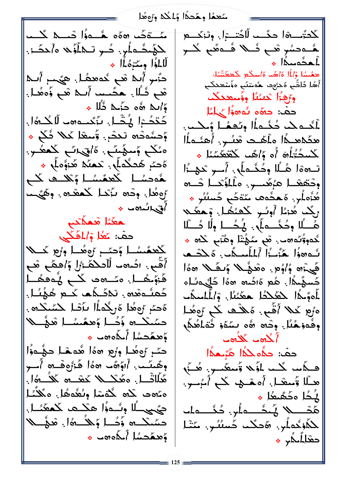مَعِمًا وهَجِدًا وَالْحَدِ وَوَهُلَ

مَنْ تَوَجَّد وَهُو هُــوُّ أَ جَمْعِهِ كَتَبَ للْهُنصَّـٰه لُبٍ. ثُــب تَــٰه الْهُلَا ه الْمَضَـّز. لْلِلْمَوْلِ وِيَتَوَدُّلُ ۞ دَّىبِ أَبِدْ هُم خُوههُا. هِيَمبِ أَبِيدِ<br>هَم ثَـُلا. هجَّىبِ أَبِيدَ هَي وَوهُا. وُابِهِ هُو جَنْبِهِ ظُلْلَ ﴾ كَتْحُبْرا هُتْمَا. بِنْكْبُ90 لِّالْحُلْشَا. وَحِشَوْدُهِ تَحْشَرٍ. وَّسِعْلَ كَلا أَنَّكُل \* ەئك بَسَهُمَكِ. ةَاقْيَائُ لَكْمَعُسِ. ەُحَبَّ ھُڪِکُماً) . تَحْمَلُا هُـ;وُماً) \* مُوصِيل كُعِمَيسًا وَلَكَ فَي كُلِّي رُوهُا. وِدْهِ بِّدَا لَكَعْفُرُهِ. وِهُيُّب أق المسلام في الم معكئا شمكتب حفَّ: عَعُا وْالْمَكَّلِي كلعمَّسُا وَحَسْرِ رُوهُا وِرُعِ كَلَّلا أَقُّبٍ. آئَـده بِ الْأَصْلَحُـزْلِ وَٱهتَبِ هَـمِ فَوْمِعُا وَلَدْ مِنْ مِنْ الْمُوَمَّا لَمْ يَوْمِعُونَ كُمِنُوهُدِهِ . تَمْكُلُمُ لَمِيعِ هُوُنُا. ەَحِبْر وْهِهُا وْرِيْكُمْلَا بِرْتْبَا لِكْسُبْكُ، . حسَّنكسو وُحُسا وُهمُسُسا هُدُسُلًا وُهِهُدِسُا أَيْدُهُ وهِ \* حمَّمٍ رُوهُما ورُمِ 30\$ هُومُما حجَّـووُّا وِهُىكَــد. ٱرْوَّهُـد «ەُا فَـْرُوڤــ« أُــــو هَٰلَاتْـا. ٥هُنْـــلا حُمْـــ٥ لَلاُـــ٥!. هنّه د لاه لَاثْمَمْا وِنُعْمِعُا. هِلَانُما حيَّى الله وتُدوُّل هكْت تَكْمِعْنَال. حمّىك و وَّحُــا وَجِدُ وَهُ]. مْحَمُّ كَلا وُهِهُدِسُا أَيَّاهُ٥٥كْحَتّْبِ هَا حَكَّب لَّاحّْتَــْ بِ. وِنْزَكَــــــــور مُسومسُرٍ مْبِ ثَــلا فُــومُبِ كُــرِ \* Kusîrî همُسُل وَٱلْمَا هَاهُمَا هَامِكُمْ كُلْعَظَتُمَا. أَهُا دَّاضٌ هَدْوَد هُمتنَى هَ مُعْدَلَبٍ وَرَدْءُ أَكْسُلًا وَوَّسْعَدَكُمْ حقَّ: حرَّه شَهْرُ إِحِمامًا لْمُــوحْد حُذَّـوا الله وتَـُعْصَـا وُحكــب. هكَهْهِـدُا هِلْهُـت هْنُـبِ. أَهْشُـهِ) تــــــهةا هُــُلا وحُـحُـــملَى. أُمـــو تَحهـــةُا ودْتَعْعْسَا عَزْهُسِي. مِلْلُؤُكِيا شَــْهِ هُزُّەلُر. ەُھھُەھ مِّقْصٌ كَسْلُرْ \* رِبَكَ هُزِمًا أُوِيُّو كَحْمُعًا. وْحَصَّلًا هُـــُلْا وِحُكْـــهِ]ْ. وُحُـــا وِلْا حُـــُلا لَكووْتُوهب. هُم مُكْمُنْا وِهُزْمٍ لَكْلِهِ وَ تُدەؤُل هَنْزَالْمَلْمُدِينَ وَجَدْدَ كَيْنَ وَاوُمٍ. هَعْشُمْلاً وَسَفَّى الْمَمْرَةَ كَسِيَّىدًا. هُم هَاصُده ههُ كَلَّى مُلْء لِمَوْمِدًا ۖ لِكَلَّاتُ ۖ مِعَنُنًا ۚ وَٱلْمَاسِدَّى هُ وَمِ كَمَلاً أَقْبٍ. هَلْكُ كُمْ وَهِقُداً وِقُومَهُنُا. وِحْرَه ۞ه بِيَنْدُو فُقائِفِكُمْ أكلوم كلاوم حق: حِدُّه لِمُمَّا هُبُعِمًا فَتَكْمَتْ يَحْتَبْ لَمُؤْلِّلًا وَّسْتَكْسِينٍ هُنَّيْ هنَّاا وُّمعْداً. أَه هُـــي كُـــ أُمُّرِـــر. 4ْـدًا ەڭھُىھُا ﴾ ﻼُﻪﻧﮕﻪ, , ﮬَﺣﮕﯩﺪ ﻛﯩﯩ*ﻨﯩﻠ*ﻰ ﻣﯩﺘﯩﻠ دَهْلِلُمكُن چ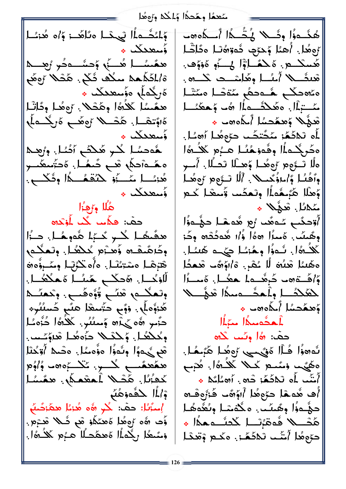محمدا وهجاه والمكا وزوها

وَّامُتَّـهَأَا نَهْرَكَمْ وَالْحَــٰمَ وَلَاهِ هَٰذَا وَلَاهِ مَنْ الْمَــَدَىٰلِمْ وَالْمَــٰدَةِ ۇمعدك ھ همَّسُلَّا هُـــنَّى وَحشَـــەحُـو رُهـــــه ة/لمَكْلِمه سَكْفُ ثَكْلٍ. هُشْلاً وَوَهُم ەربكەكم ەۆسىدىك ھ همُسُل كَلَاهُا ومَّصْلاً. وُهِمَّا ومَّاتْل ەُلۇتىھْسا. ھَتْسْلا رُوھُب ەُرْكْسْماُو include : هُوَجِسًا كُبِرٍ هَٰلِكُمْ أَضُاً. وِرُهِلِمَ ەھَدەَدْكَى ھَــوَ كُـمُــا. ەَدَىمىغَىــو هُزئُـــا مَئَـــنُوْ كَنَقْهُـــدًا وِدُكْـــو . indelle هُلًا وزَهِزًا حق: فمَّاس كُمَّا لَمُؤْتَدَهِ هقَىعًا كُـرِ مُـبَا هُومُـا. حـزًا وِكْرَهُيفْ، وَمَنْزَم يُحْكَمُا. وِيْمَكُمْ هْزِهْـا مشتنْدْا. ە\ەتلاپْل ومئـروُەن لَّافِكْمَا. ۞حكَّى هَنسُا هَمكْعُمَا. وِلْعَكْسِمِ هُنِّي وُّؤُهفَسِي. وِلْحَقَّلُكُمْ هَٰذَوُّهلُٰ ۚ . وَوَّى حَتَّمَعْنَا هَنَّى حَسْلُرُ ﴾ دَّىَــرِ ۞ُهِ كَــالَهِ وَمَعْنُدٍ. كَلَّاهُ ا دُّوْهَ ا وِكْلِعْكُلْ. وَجَلْحْكُلّْ جَزْوَهُمَا هُرُوِّسُت. هْمِ يُحوُّلُ وِنُعوُّلُ هؤُه مُمْلٌ. هضْهُ أَوْكُنْلُ همُهمُب كُـــو. ݣَـــؤه» وْأَوْم كَعْزُلْا. هُصْلاً لْمَعْمِـكْي. مِمَّسْل وْ) أَالْمَحْقُوهُمْ إِسْتَمَا: حَقَّ: كُلِّ هُو هُزْءُ هَكَرْضَهُ ؤُدَ ۞ه وَوَهُلُمْ هُمْتُمُوْ هُمْ شَكَّلَا هُــْرَم. وْمُبِعْدَ رِيْدَءُا هُمْجَحَلَا عَـرُمْ لَكُـوَٰا.

هُنُدوُّا وِثَمِيلًا مُتُحَمُّا أَحْمَدَهَ }وهُا. أُهمُا وَحرَّبٍ ثُووَهُنَا وكَاتَـا هُسكِ مِ. هَ حَصَّارَةُ لِي نُو هُوَوُف. مْنشَّىلا أَنتُ وهُاشت تَكْتُمْ. متمحكم مُحدمُ مَتَوْسًا مِمَتْسًا مَّتْ الْمَالِ. دَهَٰلاَقْتُـدَاْ اللهُ- وَجَعَفْـُـا هَيُوْلاَ وُهِمُحِسُلِ أَمَدُهِ \*\* لَم نَـْاضَعُـٰٓ; مَـُحَّـٰٓتَـٰتَـٰٮ حرِّہِۖ هُـٰٓا ٱهۦُـٰا . وَحَرِيْكُمْ الْمُ وَهُوَ هُنُما حَبُّرَهِ كَلَا هُوَا وْلَا تَــزُومِ رُومُنَـا وُهــْلَا تَعَــُلا. أَمــو وَٱقْتُلْ وَٱللزُّكْتِيلا ﴾ ٱلْمَا تَسْؤَوِمِ رَوْهِكُمْ وَهِلًا هَبُعْدَاً وِتَعْمَىنَ وَّسَعْدَاً كَنْعَ | سَمْلُل مَعْهُلا \* أَوْحَكُم مُّـهمَّد رُمْ هُـهـمْـا حَذُّـهوُّا وِهُيْفٌ، هُمِدًا هَهُا وَٰ)َا هُوَجُدُه وِجَز لْحَدُوْلِ شَوزًا وِهُنْسًا حَيْءٌ هَبْسًا. ەھّىئا قىئە لا ئېر. ۋابۇھَ قىمۇا وَأَهَتَ مِن دَرِهُـــما حَعْلَ. هَمْــأَ لمَعْلَاتُهِ وأُحدُّدهِ مِمْ أَسْرَبَهِ اللَّهُ أَوْهَدَهُمْدَسُلُ أَيْلَمُوهَمْ \* الْمَدْمِيمًا مِبْلَا حقَّ: هُ أُولَّب لَاه بْمُعَوْلَ هُـأَلَا هُوْيَجِي رُوهُـا هَيُـمُّـلَ. ەھَيَى وَمَّىم كَــلا كَلاُهُ]. هُرْم أَمِنُكَ لَمُ قَدْدُهُمْ; قَدْهُ بِ أَرْهَا لِكُمْ ﴾ أُف شُدها حرَّوهُا أَاوِّشَـٰ فَأَوْوَفَـٰهِ حجُّـوزُا وهُـبُـب و كُثوبْ ا وِيُعُوهُـا هُصْـــهُ فُوقْرُتْـــا كُحِنُـــوهِـهَا \* دَوْهُا أَسِّبَ لَلاَكْعُـزِ. وَكُــم وْقَدْلَ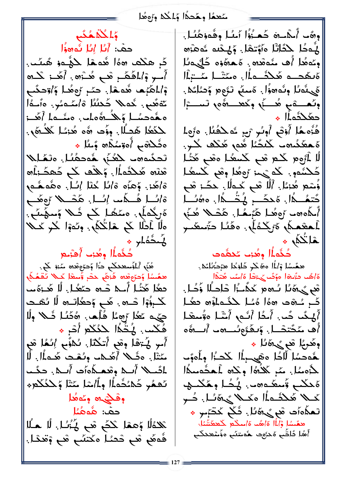منعما وهجاه وللكه وزوها

وَلِمَكْلُمُهُمْس حقَّ: أَبُلَ إِبُلَ ثَوْوَوْاً دِّ هكْف هوا هُوهْا لِحَدُّو هُتَّب. أسو وْالمْقَصَّعِ هُتَّ هُو أَهْدَ كَلْمَهِ وْٱلْمَٰٓئِمِ هُدَهَا. ۚ حَيْرٍ رُوهُا وَٱوْحَكَبِ تَفَعَّى ۚ ذَٰهِ لاَ كَحْسُلَ وْاٰمَدْ وَبِهِ ۚ وَٱسْوَاْ معْفَصِبُ إِلاَ اللَّهُ مِاتٍ مِنْتُ وَا أَهُنَا لِكَعُدُا هُدِيُا. وِوَّد 6ُه هُزْمًا كَلُبُمْ. ەڭلاۋىم اْەقسْلَاھ ۇسال ھ لَحكُم‰ لِلْعُنَىٰ هُمَحِمُنُا. هَلَمَالِلا هْنُه هَٰلِكُماًا. وَجَلَافٌ كُلِّ كُنْفَخَاءُاهُ ةَاهَٰذٍ. وَعِذَهِ وَاللَّا كُنْلَ إِسُلَّ. وهُوهُو ةائسا فُــكَمْب إِنْسا. هُـثَـــلا رُوهُـــع ەرگە). ەسمھار كى ئىلا ۋسۇسىً. وَلَا لَمَثَلَا كَمْ هَاتُكُمْ. وِتَوْوَا كُبْرِ كَنْكَلا لْمَحْفُلْر فَحْمَلُا ومُنو أَقْتُم هُنَّهِ ٱلمُؤْسِعِدِكَلِ دَٰرًا وَجَرَّوهُ مَنْ مَنْ لَكِي. همُسُلْ وُجَوَهُه فَرْهُمْ هَذْرٍ وَأَسْعَلْ كَلَّلا تَقْمُلُمْ حعُل هَتُـل أَسم شَـــه حمّعُــل. لُل هَـــزة س كُــْ إِذْوَا ۖ تَــْـهِ . هَــعِ وَحَمَّاتَــهِ لَا نُـْقَــت دَيْء مُعُل رُهِمُّا هُلُه. هُدَّمُّا شَلا مِلَّا فَّكْس. هُتُمُا كِنُكُم أَثَرِ \* أَسِ لَيَ هَا وَهَمِ أَتَـكْنَا. تُكْفُو إِنَّـمًا هَم مَنْنَا. هِ ثَىلاً أَهُده وبُعْدَ هُدها!. لَّا لمصَّلا أسم وتَعملُه أن أسم. حمَّم ئعمُر كَمْنُحْماًا وِلَمُ سَاء مَتْا وَحَكَكُمْ ﴾ وقثيره وتموها حق: هُوهُمُا كَكْمُلًا وَحَمْلَ كَكُمْ شَيْ بِيُّزُسًا. لَلْ حَبَّلًا فُوهُم هُم دْمَـُـل وكَتسُم هُم وْهَدْلَ.

وِهُما أَعْدَدَ كَعَنُوْا آَعْلَا وِقُووَهُنَا. لْمَحْلِ لِكَمْاتْلِ وَأَوْتِـٰهَا . وَلِيَحْبَدِ خُوصْرُهِ وِعَمِعُدا أُهَا مُنْمَعْدِهِ . هُ هَجَمْوَهِ حَلِيْهِ مُا هْتِهْجَدُ هَجْجُدُ وَأَنْ وَمَتْتُمْ الْمُحْتَرَاْلَ كَيْتُمَا وِتُوهُوْاً. كَسْهُ لَوْوِم وَحَبَائِكَمْ. وتَعْسَدْمَا هُنْ فَيْ وِكَعْسَدَةُ مِنْ تَسْتَرَا حعَكثَماًا ﴾ قُنُوها أُوْتَى أُوبُر رَبِّ ثَوطَهُمَا. ورُوا هُ هَكُدُهِ بَا كَمَثَا هُمْ هَٰذَكَ لَحْرٍ. لًا أَرُومِ كُـمِ مَى كُسِعًا وَمَى مَخْـًا كَحْشُومِ. ݣُمْ يْهِمْ رُوهُا وْهْمِ ݣْمْعَظْمْ ؤُسْعِ هُزِيًا. أَلَّا هُبِ كَبِّهِ الْكَسَّلَ هُبِ دَّتمُــدًا. هَـدَـــَــ فُتُــدًا. ههُنَــا أَلْمُوهَمْ رُوهُمْ هُرُهُمْ. هُصْلاً هُنَّى لْمَعْمَلُهِ هَرْكُدُلُهِ. وَقَبُلْ تَهْمِعْمَ هاتُكُم . لخُملُّا وهُنِ مُحقَّدت همَّسُا وْالْمَا هِهْكُر كْاوْكْا هرْجْتُلْكُا. هَاهُ حَبُّدةَ أَعْبَىٰ مِهْدًا مَنْ السَّلَّةُ مَعْنَاهَ هْمِ يُجِمَّنُا سُمْعَ بَكَفَتُوا شَاحِبًا وَّحُـا. كَــرِ سُــْهَـت ههُا هُسُـل للنُسْماؤُه تعُسلُــا أَهْبَدُ حَبٍ. أَمْدًا أَنَّمٍ أَشْاً وَقُمِعْاً أُف مَدَّنْتَشَــا. وَيَكْوُونُـــــومَ أَيَـــوهُ و وهُدِيًا هُم يُ هَالُهُ \* حَددسُا لَّاحُا وهَي بِماْلِ كَلَّمَ وَلَمَّوَت لأوممُا. مَمْ كَلاُهُ! وِكْلَا أَحْدُومِكُمْ! ەْككىم تُسطَّەھە. ئُكُما وَهَكْسَنَ كَمِلاً هَٰلِكُمْمَاْ اهْكِلا يُ\$َسَا. ضُو تَعَكَّمَاتَ هُمْ يُ\$َئَلُ. ثُكُمْ كَتَجْسٍ \* هِمُسُلٍ وَٱلْمَالَ هَاهُمَا هَامِيكُمْ كَعِعْتُنَالُ أَهُا دَّاتَبِ هَدْوَمِ هُوسَنِّي وَزُمْعِدِكَبِ